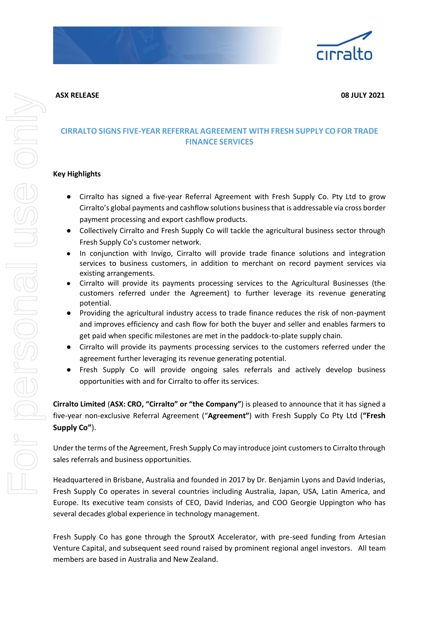



## **CIRRALTO SIGNS FIVE-YEAR REFERRAL AGREEMENT WITH FRESH SUPPLY COFOR TRADE FINANCE SERVICES**

## **Key Highlights**

- Cirralto has signed a five-year Referral Agreement with Fresh Supply Co. Pty Ltd to grow Cirralto's global payments and cashflow solutions business that is addressable via cross border payment processing and export cashflow products.
- Collectively Cirralto and Fresh Supply Co will tackle the agricultural business sector through Fresh Supply Co's customer network.
- In conjunction with Invigo, Cirralto will provide trade finance solutions and integration services to business customers, in addition to merchant on record payment services via existing arrangements.
- Cirralto will provide its payments processing services to the Agricultural Businesses (the customers referred under the Agreement) to further leverage its revenue generating potential.
- Providing the agricultural industry access to trade finance reduces the risk of non-payment and improves efficiency and cash flow for both the buyer and seller and enables farmers to get paid when specific milestones are met in the paddock-to-plate supply chain.
- Cirralto will provide its payments processing services to the customers referred under the agreement further leveraging its revenue generating potential.
- Fresh Supply Co will provide ongoing sales referrals and actively develop business opportunities with and for Cirralto to offer its services.

**Cirralto Limited** (**ASX: CRO, "Cirralto" or "the Company"**) is pleased to announce that it has signed a five-year non-exclusive Referral Agreement ("**Agreement"**) with Fresh Supply Co Pty Ltd (**"Fresh Supply Co"**).

Under the terms of the Agreement, Fresh Supply Co may introduce joint customers to Cirralto through sales referrals and business opportunities.

Headquartered in Brisbane, Australia and founded in 2017 by Dr. Benjamin Lyons and David Inderias, Fresh Supply Co operates in several countries including Australia, Japan, USA, Latin America, and Europe. Its executive team consists of CEO, David Inderias, and COO Georgie Uppington who has several decades global experience in technology management.

Fresh Supply Co has gone through the SproutX Accelerator, with pre-seed funding from Artesian Venture Capital, and subsequent seed round raised by prominent regional angel investors. All team members are based in Australia and New Zealand.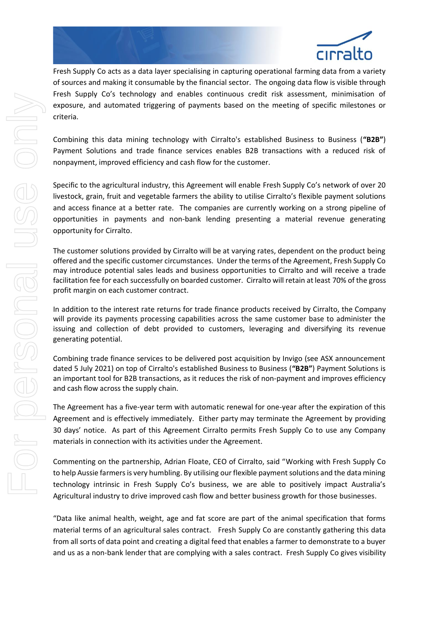

Fresh Supply Co acts as a data layer specialising in capturing operational farming data from a variety of sources and making it consumable by the financial sector. The ongoing data flow is visible through Fresh Supply Co's technology and enables continuous credit risk assessment, minimisation of exposure, and automated triggering of payments based on the meeting of specific milestones or criteria.

Combining this data mining technology with Cirralto's established Business to Business (**"B2B"**) Payment Solutions and trade finance services enables B2B transactions with a reduced risk of nonpayment, improved efficiency and cash flow for the customer.

Specific to the agricultural industry, this Agreement will enable Fresh Supply Co's network of over 20 livestock, grain, fruit and vegetable farmers the ability to utilise Cirralto's flexible payment solutions and access finance at a better rate. The companies are currently working on a strong pipeline of opportunities in payments and non-bank lending presenting a material revenue generating opportunity for Cirralto.

The customer solutions provided by Cirralto will be at varying rates, dependent on the product being offered and the specific customer circumstances. Under the terms of the Agreement, Fresh Supply Co may introduce potential sales leads and business opportunities to Cirralto and will receive a trade facilitation fee for each successfully on boarded customer. Cirralto will retain at least 70% of the gross profit margin on each customer contract.

In addition to the interest rate returns for trade finance products received by Cirralto, the Company will provide its payments processing capabilities across the same customer base to administer the issuing and collection of debt provided to customers, leveraging and diversifying its revenue generating potential.

Combining trade finance services to be delivered post acquisition by Invigo (see ASX announcement dated 5 July 2021) on top of Cirralto's established Business to Business (**"B2B"**) Payment Solutions is an important tool for B2B transactions, as it reduces the risk of non-payment and improves efficiency and cash flow across the supply chain.

The Agreement has a five-year term with automatic renewal for one-year after the expiration of this Agreement and is effectively immediately. Either party may terminate the Agreement by providing 30 days' notice. As part of this Agreement Cirralto permits Fresh Supply Co to use any Company materials in connection with its activities under the Agreement.

Commenting on the partnership, Adrian Floate, CEO of Cirralto, said "Working with Fresh Supply Co to help Aussie farmers is very humbling. By utilising our flexible payment solutions and the data mining technology intrinsic in Fresh Supply Co's business, we are able to positively impact Australia's Agricultural industry to drive improved cash flow and better business growth for those businesses.

"Data like animal health, weight, age and fat score are part of the animal specification that forms material terms of an agricultural sales contract. Fresh Supply Co are constantly gathering this data from all sorts of data point and creating a digital feed that enables a farmer to demonstrate to a buyer and us as a non-bank lender that are complying with a sales contract. Fresh Supply Co gives visibility